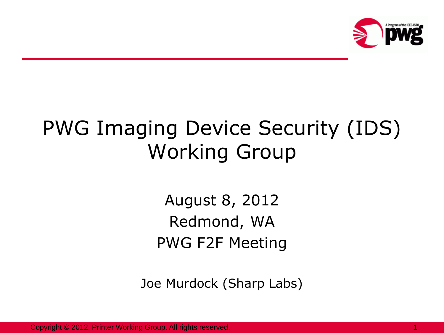

## PWG Imaging Device Security (IDS) Working Group

August 8, 2012 Redmond, WA PWG F2F Meeting

Joe Murdock (Sharp Labs)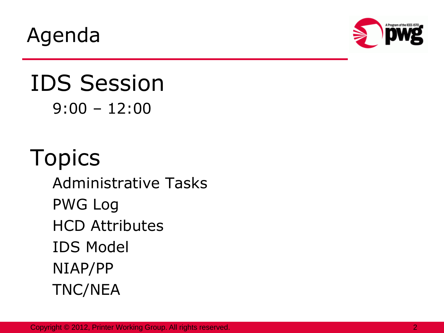Agenda



#### IDS Session 9:00 – 12:00

# Topics

Administrative Tasks PWG Log HCD Attributes IDS Model NIAP/PP TNC/NEA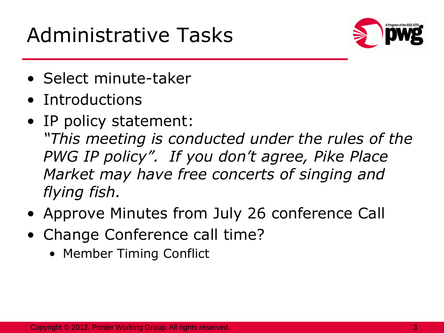### Administrative Tasks



- Select minute-taker
- Introductions
- IP policy statement: *"This meeting is conducted under the rules of the PWG IP policy". If you don't agree, Pike Place Market may have free concerts of singing and flying fish.*
- Approve Minutes from July 26 conference Call
- Change Conference call time?
	- Member Timing Conflict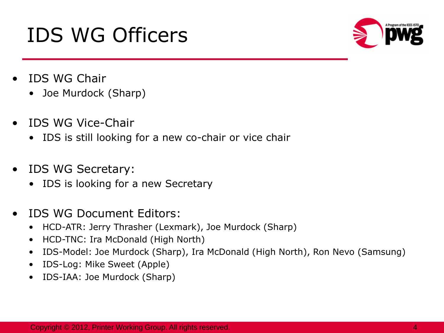## IDS WG Officers



- IDS WG Chair
	- Joe Murdock (Sharp)
- IDS WG Vice-Chair
	- IDS is still looking for a new co-chair or vice chair
- IDS WG Secretary:
	- IDS is looking for a new Secretary
- IDS WG Document Editors:
	- HCD-ATR: Jerry Thrasher (Lexmark), Joe Murdock (Sharp)
	- HCD-TNC: Ira McDonald (High North)
	- IDS-Model: Joe Murdock (Sharp), Ira McDonald (High North), Ron Nevo (Samsung)
	- IDS-Log: Mike Sweet (Apple)
	- IDS-IAA: Joe Murdock (Sharp)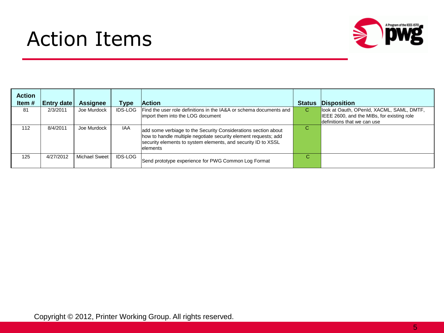### Action Items



| <b>Action</b> |                   |                 |                |                                                                                                                                                                                                                 |               |                                                                                         |
|---------------|-------------------|-----------------|----------------|-----------------------------------------------------------------------------------------------------------------------------------------------------------------------------------------------------------------|---------------|-----------------------------------------------------------------------------------------|
| Item #        | <b>Entry date</b> | <b>Assignee</b> | Type           | <b>Action</b>                                                                                                                                                                                                   | <b>Status</b> | <b>Disposition</b>                                                                      |
| 81            | 2/3/2011          | Joe Murdock     | <b>IDS-LOG</b> | Find the user role definitions in the IA&A or schema documents and<br>limport them into the LOG document                                                                                                        | C.            | look at Oauth, OPenId, XACML, SAML, DMTF,<br>IEEE 2600, and the MIBs, for existing role |
|               |                   |                 |                |                                                                                                                                                                                                                 |               | definitions that we can use                                                             |
| 112           | 8/4/2011          | Joe Murdock     | <b>IAA</b>     | add some verbiage to the Security Considerations section about<br>how to handle multiple negotiate security element requests; add<br>security elements to system elements, and security ID to XSSL<br>lelements | C             |                                                                                         |
| 125           | 4/27/2012         | Michael Sweet   | <b>IDS-LOG</b> | Send prototype experience for PWG Common Log Format                                                                                                                                                             | С             |                                                                                         |

Copyright © 2012, Printer Working Group. All rights reserved.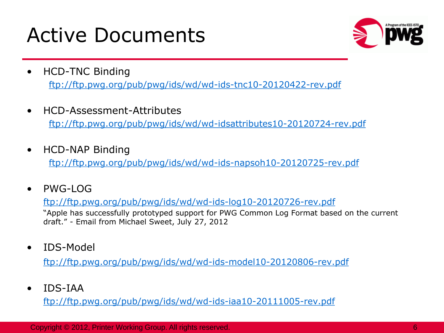#### Active Documents



- HCD-TNC Binding <ftp://ftp.pwg.org/pub/pwg/ids/wd/wd-ids-tnc10-20120422-rev.pdf>
- HCD-Assessment-Attributes

<ftp://ftp.pwg.org/pub/pwg/ids/wd/wd-idsattributes10-20120724-rev.pdf>

• HCD-NAP Binding

<ftp://ftp.pwg.org/pub/pwg/ids/wd/wd-ids-napsoh10-20120725-rev.pdf>

 $\bullet$  PWG-LOG

<ftp://ftp.pwg.org/pub/pwg/ids/wd/wd-ids-log10-20120726-rev.pdf>

"Apple has successfully prototyped support for PWG Common Log Format based on the current draft." - Email from Michael Sweet, July 27, 2012

• IDS-Model

[ftp://ftp.pwg.org/pub/pwg/ids/wd/wd-ids-model10-20120806-rev.pdf](ftp://ftp.pwg.org/pub/pwg/ids/wd/wd-ids-model10-20120803-rev.pdf)

• IDS-IAA

<ftp://ftp.pwg.org/pub/pwg/ids/wd/wd-ids-iaa10-20111005-rev.pdf>

Copyright © 2012, Printer Working Group. All rights reserved. 6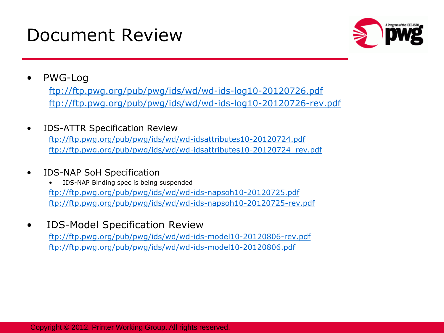#### Document Review



#### • PWG-Log

<ftp://ftp.pwg.org/pub/pwg/ids/wd/wd-ids-log10-20120726.pdf> <ftp://ftp.pwg.org/pub/pwg/ids/wd/wd-ids-log10-20120726-rev.pdf>

• IDS-ATTR Specification Review

<ftp://ftp.pwg.org/pub/pwg/ids/wd/wd-idsattributes10-20120724.pdf> [ftp://ftp.pwg.org/pub/pwg/ids/wd/wd-idsattributes10-20120724\\_rev.pdf](ftp://ftp.pwg.org/pub/pwg/ids/wd/wd-idsattributes10-20120724_rev.pdf)

#### • IDS-NAP SoH Specification

• IDS-NAP Binding spec is being suspended <ftp://ftp.pwg.org/pub/pwg/ids/wd/wd-ids-napsoh10-20120725.pdf> <ftp://ftp.pwg.org/pub/pwg/ids/wd/wd-ids-napsoh10-20120725-rev.pdf>

#### • IDS-Model Specification Review <ftp://ftp.pwg.org/pub/pwg/ids/wd/wd-ids-model10-20120806-rev.pdf> <ftp://ftp.pwg.org/pub/pwg/ids/wd/wd-ids-model10-20120806.pdf>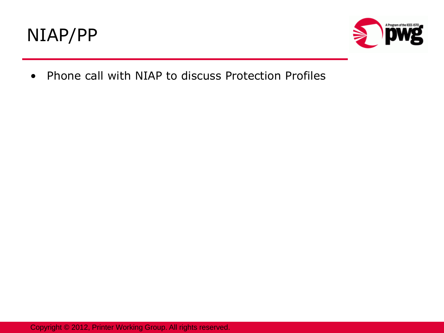



• Phone call with NIAP to discuss Protection Profiles